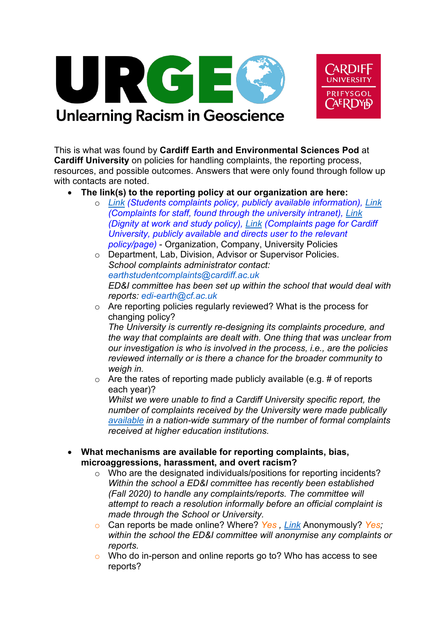



## **Unlearning Racism in Geoscience**

This is what was found by **Cardiff Earth and Environmental Sciences Pod** at **Cardiff University** on policies for handling complaints, the reporting process, resources, and possible outcomes. Answers that were only found through follow up with contacts are noted.

- **The link(s) to the reporting policy at our organization are here:**
	- o *Link (Students complaints policy, publicly available information), Link (Complaints for staff, found through the university intranet), Link (Dignity at work and study policy), Link (Complaints page for Cardiff University, publicly available and directs user to the relevant policy/page)* - Organization, Company, University Policies
	- o Department, Lab, Division, Advisor or Supervisor Policies. *School complaints administrator contact: earthstudentcomplaints@cardiff.ac.uk ED&I committee has been set up within the school that would deal with reports: edi-earth@cf.ac.uk*
	- o Are reporting policies regularly reviewed? What is the process for changing policy?

*The University is currently re-designing its complaints procedure, and the way that complaints are dealt with. One thing that was unclear from our investigation is who is involved in the process, i.e., are the policies reviewed internally or is there a chance for the broader community to weigh in.*

 $\circ$  Are the rates of reporting made publicly available (e.g. # of reports each year)?

*Whilst we were unable to find a Cardiff University specific report, the number of complaints received by the University were made publically available in a nation-wide summary of the number of formal complaints received at higher education institutions.*

- **What mechanisms are available for reporting complaints, bias, microaggressions, harassment, and overt racism?**
	- o Who are the designated individuals/positions for reporting incidents? *Within the school a ED&I committee has recently been established (Fall 2020) to handle any complaints/reports. The committee will attempt to reach a resolution informally before an official complaint is made through the School or University.*
	- o Can reports be made online? Where? *Yes , Link* Anonymously? *Yes; within the school the ED&I committee will anonymise any complaints or reports.*
	- o Who do in-person and online reports go to? Who has access to see reports?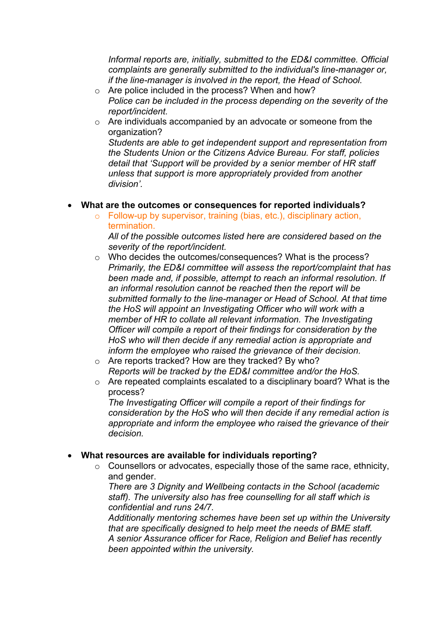*Informal reports are, initially, submitted to the ED&I committee. Official complaints are generally submitted to the individual's line-manager or, if the line-manager is involved in the report, the Head of School.*

- o Are police included in the process? When and how? *Police can be included in the process depending on the severity of the report/incident.*
- o Are individuals accompanied by an advocate or someone from the organization?

*Students are able to get independent support and representation from the Students Union or the Citizens Advice Bureau. For staff, policies detail that 'Support will be provided by a senior member of HR staff unless that support is more appropriately provided from another division'.*

## • **What are the outcomes or consequences for reported individuals?**

o Follow-up by supervisor, training (bias, etc.), disciplinary action, termination.

*All of the possible outcomes listed here are considered based on the severity of the report/incident.*

- o Who decides the outcomes/consequences? What is the process? *Primarily, the ED&I committee will assess the report/complaint that has been made and, if possible, attempt to reach an informal resolution. If an informal resolution cannot be reached then the report will be submitted formally to the line-manager or Head of School. At that time the HoS will appoint an Investigating Officer who will work with a member of HR to collate all relevant information. The Investigating Officer will compile a report of their findings for consideration by the HoS who will then decide if any remedial action is appropriate and inform the employee who raised the grievance of their decision.*
- o Are reports tracked? How are they tracked? By who? *Reports will be tracked by the ED&I committee and/or the HoS.*
- o Are repeated complaints escalated to a disciplinary board? What is the process?

*The Investigating Officer will compile a report of their findings for consideration by the HoS who will then decide if any remedial action is appropriate and inform the employee who raised the grievance of their decision.*

## • **What resources are available for individuals reporting?**

o Counsellors or advocates, especially those of the same race, ethnicity, and gender.

*There are 3 Dignity and Wellbeing contacts in the School (academic staff). The university also has free counselling for all staff which is confidential and runs 24/7.* 

*Additionally mentoring schemes have been set up within the University that are specifically designed to help meet the needs of BME staff. A senior Assurance officer for Race, Religion and Belief has recently been appointed within the university.*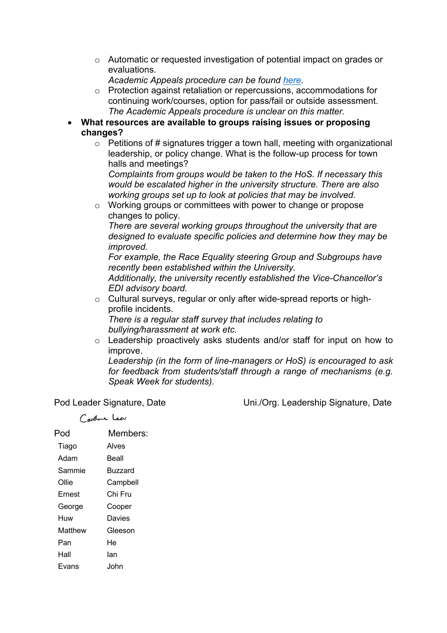- o Automatic or requested investigation of potential impact on grades or evaluations.
	- *Academic Appeals procedure can be found here.*
- o Protection against retaliation or repercussions, accommodations for continuing work/courses, option for pass/fail or outside assessment. *The Academic Appeals procedure is unclear on this matter.*
- **What resources are available to groups raising issues or proposing changes?**
	- $\circ$  Petitions of # signatures trigger a town hall, meeting with organizational leadership, or policy change. What is the follow-up process for town halls and meetings?

*Complaints from groups would be taken to the HoS. If necessary this would be escalated higher in the university structure. There are also working groups set up to look at policies that may be involved.*

o Working groups or committees with power to change or propose changes to policy.

*There are several working groups throughout the university that are designed to evaluate specific policies and determine how they may be improved.*

*For example, the Race Equality steering Group and Subgroups have recently been established within the University.*

*Additionally, the university recently established the Vice-Chancellor's EDI advisory board.*

o Cultural surveys, regular or only after wide-spread reports or highprofile incidents.

*There is a regular staff survey that includes relating to bullying/harassment at work etc.*

o Leadership proactively asks students and/or staff for input on how to improve.

*Leadership (in the form of line-managers or HoS) is encouraged to ask for feedback from students/staff through a range of mechanisms (e.g. Speak Week for students).*

Coolne Leev

Pod Leader Signature, Date Uni./Org. Leadership Signature, Date

| Pod     | Members:       |
|---------|----------------|
| Tiago   | Alves          |
| Adam    | Beall          |
| Sammie  | <b>Buzzard</b> |
| Ollie   | Campbell       |
| Ernest  | Chi Fru        |
| George  | Cooper         |
| Huw     | Davies         |
| Matthew | Gleeson        |
| Pan     | He             |
| Hall    | lan            |
| Fvans   | John           |
|         |                |